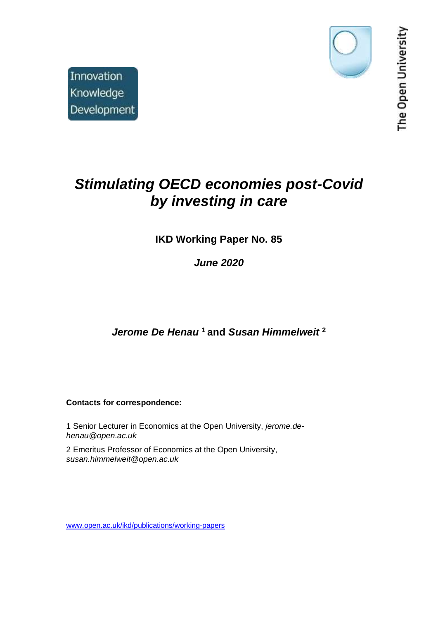

The Open University

# *Stimulating OECD economies post-Covid by investing in care*

# **IKD Working Paper No. 85**

*June 2020*

*Jerome De Henau* **<sup>1</sup> and** *Susan Himmelweit* **<sup>2</sup>**

**Contacts for correspondence:**

1 Senior Lecturer in Economics at the Open University, *jerome.dehenau@open.ac.uk*

2 Emeritus Professor of Economics at the Open University, *susan.himmelweit@open.ac.uk*

[www.open.ac.uk/ikd/publications/working-papers](file://///hulse/socsci-ns/Research/Admin/Centres/IKD%20-%20for%20IKD%20Director/Working_Papers/www.open.ac.uk/ikd/publications/working-papers)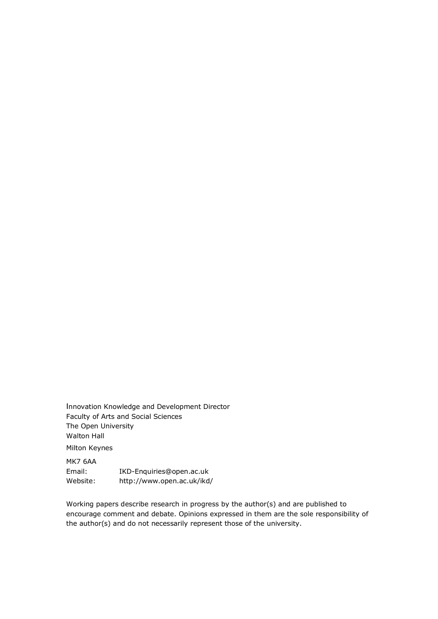Innovation Knowledge and Development Director Faculty of Arts and Social Sciences The Open University Walton Hall Milton Keynes

MK7 6AA Email: IKD-Enquiries@open.ac.uk Website: http://www.open.ac.uk/ikd/

Working papers describe research in progress by the author(s) and are published to encourage comment and debate. Opinions expressed in them are the sole responsibility of the author(s) and do not necessarily represent those of the university.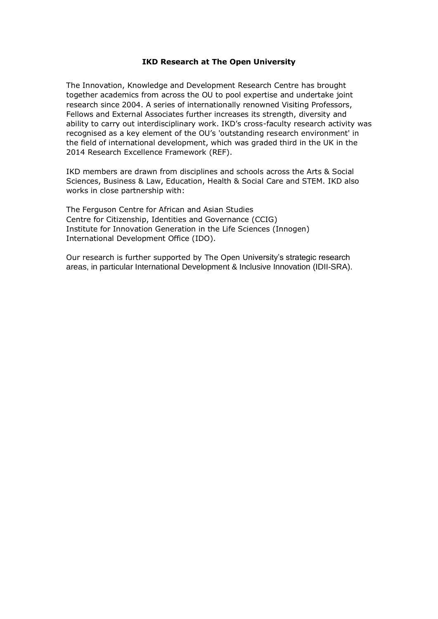#### **IKD Research at The Open University**

The Innovation, Knowledge and Development Research Centre has brought together academics from across the OU to pool expertise and undertake joint research since 2004. A series of internationally renowned Visiting Professors, Fellows and External Associates further increases its strength, diversity and ability to carry out interdisciplinary work. IKD's cross-faculty research activity was recognised as a key element of the OU's 'outstanding research environment' in the field of international development, which was graded third in the UK in the 2014 Research Excellence Framework (REF).

IKD members are drawn from disciplines and schools across the Arts & Social Sciences, Business & Law, Education, Health & Social Care and STEM. IKD also works in close partnership with:

The Ferguson Centre for African and Asian Studies Centre for Citizenship, Identities and Governance (CCIG) Institute for Innovation Generation in the Life Sciences (Innogen) International Development Office (IDO).

Our research is further supported by The Open University's strategic research areas, in particular International Development & Inclusive Innovation (IDII-SRA).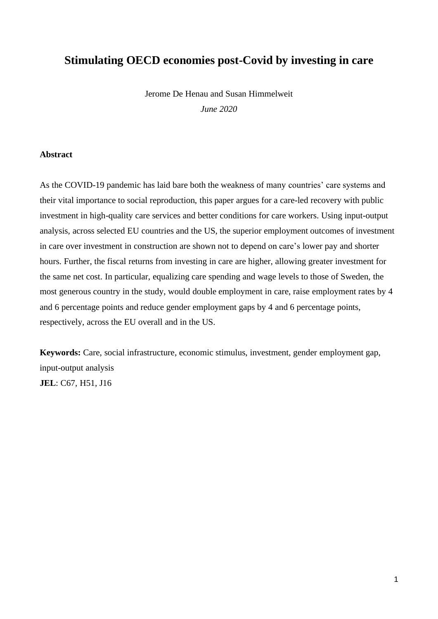# **Stimulating OECD economies post-Covid by investing in care**

Jerome De Henau and Susan Himmelweit

*June 2020*

#### **Abstract**

As the COVID-19 pandemic has laid bare both the weakness of many countries' care systems and their vital importance to social reproduction, this paper argues for a care-led recovery with public investment in high-quality care services and better conditions for care workers. Using input-output analysis, across selected EU countries and the US, the superior employment outcomes of investment in care over investment in construction are shown not to depend on care's lower pay and shorter hours. Further, the fiscal returns from investing in care are higher, allowing greater investment for the same net cost. In particular, equalizing care spending and wage levels to those of Sweden, the most generous country in the study, would double employment in care, raise employment rates by 4 and 6 percentage points and reduce gender employment gaps by 4 and 6 percentage points, respectively, across the EU overall and in the US.

**Keywords:** Care, social infrastructure, economic stimulus, investment, gender employment gap, input-output analysis **JEL**: C67, H51, J16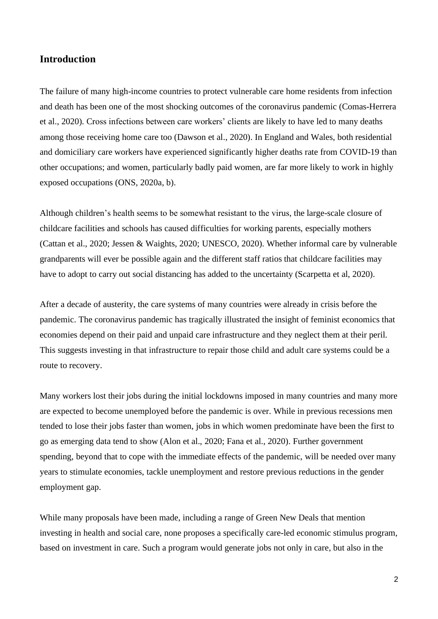#### **Introduction**

The failure of many high-income countries to protect vulnerable care home residents from infection and death has been one of the most shocking outcomes of the coronavirus pandemic (Comas-Herrera et al., 2020). Cross infections between care workers' clients are likely to have led to many deaths among those receiving home care too (Dawson et al., 2020). In England and Wales, both residential and domiciliary care workers have experienced significantly higher deaths rate from COVID-19 than other occupations; and women, particularly badly paid women, are far more likely to work in highly exposed occupations (ONS, 2020a, b).

Although children's health seems to be somewhat resistant to the virus, the large-scale closure of childcare facilities and schools has caused difficulties for working parents, especially mothers (Cattan et al., 2020; Jessen & Waights, 2020; UNESCO, 2020). Whether informal care by vulnerable grandparents will ever be possible again and the different staff ratios that childcare facilities may have to adopt to carry out social distancing has added to the uncertainty (Scarpetta et al, 2020).

After a decade of austerity, the care systems of many countries were already in crisis before the pandemic. The coronavirus pandemic has tragically illustrated the insight of feminist economics that economies depend on their paid and unpaid care infrastructure and they neglect them at their peril. This suggests investing in that infrastructure to repair those child and adult care systems could be a route to recovery.

Many workers lost their jobs during the initial lockdowns imposed in many countries and many more are expected to become unemployed before the pandemic is over. While in previous recessions men tended to lose their jobs faster than women, jobs in which women predominate have been the first to go as emerging data tend to show (Alon et al., 2020; Fana et al., 2020). Further government spending, beyond that to cope with the immediate effects of the pandemic, will be needed over many years to stimulate economies, tackle unemployment and restore previous reductions in the gender employment gap.

While many proposals have been made, including a range of Green New Deals that mention investing in health and social care, none proposes a specifically care-led economic stimulus program, based on investment in care. Such a program would generate jobs not only in care, but also in the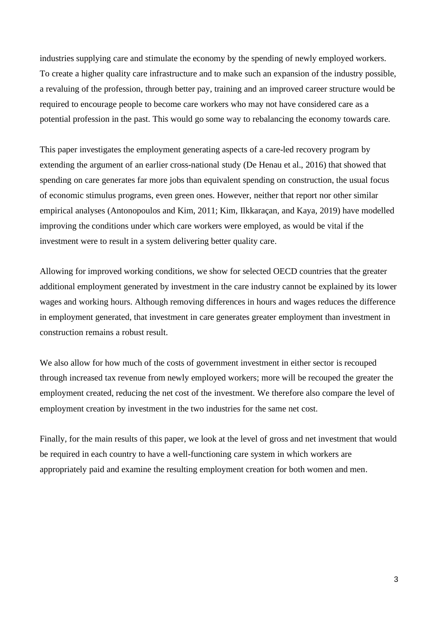industries supplying care and stimulate the economy by the spending of newly employed workers. To create a higher quality care infrastructure and to make such an expansion of the industry possible, a revaluing of the profession, through better pay, training and an improved career structure would be required to encourage people to become care workers who may not have considered care as a potential profession in the past. This would go some way to rebalancing the economy towards care.

This paper investigates the employment generating aspects of a care-led recovery program by extending the argument of an earlier cross-national study (De Henau et al., 2016) that showed that spending on care generates far more jobs than equivalent spending on construction, the usual focus of economic stimulus programs, even green ones. However, neither that report nor other similar empirical analyses (Antonopoulos and Kim, 2011; Kim, Ilkkaraçan, and Kaya, 2019) have modelled improving the conditions under which care workers were employed, as would be vital if the investment were to result in a system delivering better quality care.

Allowing for improved working conditions, we show for selected OECD countries that the greater additional employment generated by investment in the care industry cannot be explained by its lower wages and working hours. Although removing differences in hours and wages reduces the difference in employment generated, that investment in care generates greater employment than investment in construction remains a robust result.

We also allow for how much of the costs of government investment in either sector is recouped through increased tax revenue from newly employed workers; more will be recouped the greater the employment created, reducing the net cost of the investment. We therefore also compare the level of employment creation by investment in the two industries for the same net cost.

Finally, for the main results of this paper, we look at the level of gross and net investment that would be required in each country to have a well-functioning care system in which workers are appropriately paid and examine the resulting employment creation for both women and men.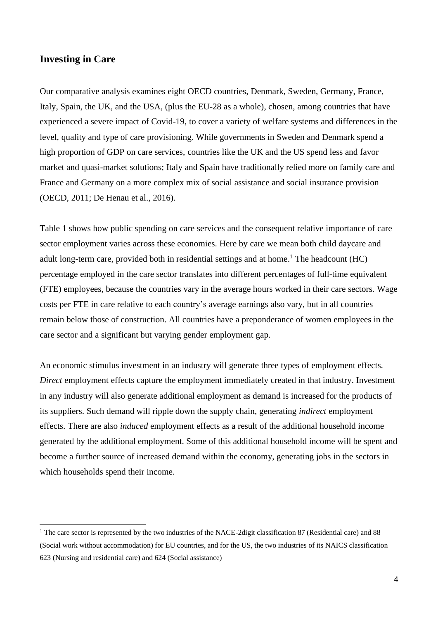#### **Investing in Care**

Our comparative analysis examines eight OECD countries, Denmark, Sweden, Germany, France, Italy, Spain, the UK, and the USA, (plus the EU-28 as a whole), chosen, among countries that have experienced a severe impact of Covid-19, to cover a variety of welfare systems and differences in the level, quality and type of care provisioning. While governments in Sweden and Denmark spend a high proportion of GDP on care services, countries like the UK and the US spend less and favor market and quasi-market solutions; Italy and Spain have traditionally relied more on family care and France and Germany on a more complex mix of social assistance and social insurance provision (OECD, 2011; De Henau et al., 2016).

Table 1 shows how public spending on care services and the consequent relative importance of care sector employment varies across these economies. Here by care we mean both child daycare and adult long-term care, provided both in residential settings and at home. <sup>1</sup> The headcount (HC) percentage employed in the care sector translates into different percentages of full-time equivalent (FTE) employees, because the countries vary in the average hours worked in their care sectors. Wage costs per FTE in care relative to each country's average earnings also vary, but in all countries remain below those of construction. All countries have a preponderance of women employees in the care sector and a significant but varying gender employment gap.

An economic stimulus investment in an industry will generate three types of employment effects. *Direct* employment effects capture the employment immediately created in that industry. Investment in any industry will also generate additional employment as demand is increased for the products of its suppliers. Such demand will ripple down the supply chain, generating *indirect* employment effects. There are also *induced* employment effects as a result of the additional household income generated by the additional employment. Some of this additional household income will be spent and become a further source of increased demand within the economy, generating jobs in the sectors in which households spend their income.

<sup>&</sup>lt;sup>1</sup> The care sector is represented by the two industries of the NACE-2digit classification 87 (Residential care) and 88 (Social work without accommodation) for EU countries, and for the US, the two industries of its NAICS classification 623 (Nursing and residential care) and 624 (Social assistance)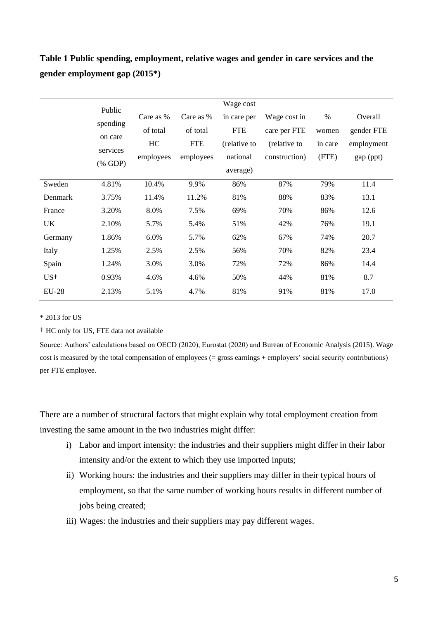# **Table 1 Public spending, employment, relative wages and gender in care services and the gender employment gap (2015\*)**

|                 | Public             |           |            | Wage cost    |               |         |            |
|-----------------|--------------------|-----------|------------|--------------|---------------|---------|------------|
|                 | spending           |           | Care as %  | in care per  | Wage cost in  | $\%$    | Overall    |
|                 |                    |           | of total   | <b>FTE</b>   | care per FTE  | women   | gender FTE |
| on care         |                    | HC        | <b>FTE</b> | (relative to | (relative to  | in care | employment |
|                 | services           | employees | employees  | national     | construction) | (FTE)   | gap (ppt)  |
|                 | $(% \mathbf{GDP})$ |           |            | average)     |               |         |            |
| Sweden          | 4.81%              | 10.4%     | 9.9%       | 86%          | 87%           | 79%     | 11.4       |
| Denmark         | 3.75%              | 11.4%     | 11.2%      | 81%          | 88%           | 83%     | 13.1       |
| France          | 3.20%              | 8.0%      | 7.5%       | 69%          | 70%           | 86%     | 12.6       |
| UK              | 2.10%              | 5.7%      | 5.4%       | 51%          | 42%           | 76%     | 19.1       |
| Germany         | 1.86%              | 6.0%      | 5.7%       | 62%          | 67%           | 74%     | 20.7       |
| Italy           | 1.25%              | 2.5%      | 2.5%       | 56%          | 70%           | 82%     | 23.4       |
| Spain           | 1.24%              | 3.0%      | 3.0%       | 72%          | 72%           | 86%     | 14.4       |
| US <sup>+</sup> | 0.93%              | 4.6%      | 4.6%       | 50%          | 44%           | 81%     | 8.7        |
| <b>EU-28</b>    | 2.13%              | 5.1%      | 4.7%       | 81%          | 91%           | 81%     | 17.0       |

\* 2013 for US

† HC only for US, FTE data not available

Source: Authors' calculations based on OECD (2020), Eurostat (2020) and Bureau of Economic Analysis (2015). Wage cost is measured by the total compensation of employees (= gross earnings + employers' social security contributions) per FTE employee.

There are a number of structural factors that might explain why total employment creation from investing the same amount in the two industries might differ:

- i) Labor and import intensity: the industries and their suppliers might differ in their labor intensity and/or the extent to which they use imported inputs;
- ii) Working hours: the industries and their suppliers may differ in their typical hours of employment, so that the same number of working hours results in different number of jobs being created;
- iii) Wages: the industries and their suppliers may pay different wages.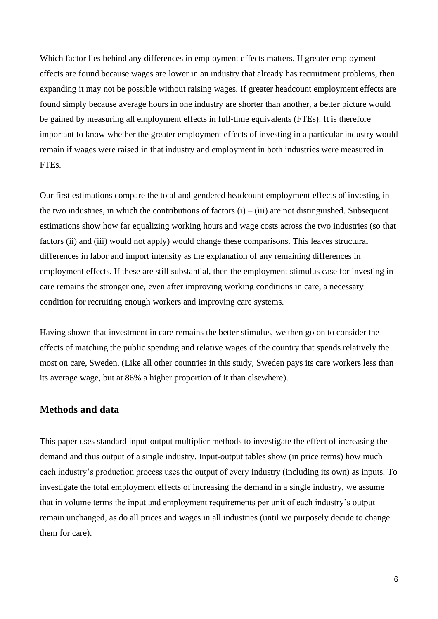Which factor lies behind any differences in employment effects matters. If greater employment effects are found because wages are lower in an industry that already has recruitment problems, then expanding it may not be possible without raising wages. If greater headcount employment effects are found simply because average hours in one industry are shorter than another, a better picture would be gained by measuring all employment effects in full-time equivalents (FTEs). It is therefore important to know whether the greater employment effects of investing in a particular industry would remain if wages were raised in that industry and employment in both industries were measured in FTEs.

Our first estimations compare the total and gendered headcount employment effects of investing in the two industries, in which the contributions of factors  $(i) - (iii)$  are not distinguished. Subsequent estimations show how far equalizing working hours and wage costs across the two industries (so that factors (ii) and (iii) would not apply) would change these comparisons. This leaves structural differences in labor and import intensity as the explanation of any remaining differences in employment effects. If these are still substantial, then the employment stimulus case for investing in care remains the stronger one, even after improving working conditions in care, a necessary condition for recruiting enough workers and improving care systems.

Having shown that investment in care remains the better stimulus, we then go on to consider the effects of matching the public spending and relative wages of the country that spends relatively the most on care, Sweden. (Like all other countries in this study, Sweden pays its care workers less than its average wage, but at 86% a higher proportion of it than elsewhere).

### **Methods and data**

This paper uses standard input-output multiplier methods to investigate the effect of increasing the demand and thus output of a single industry. Input-output tables show (in price terms) how much each industry's production process uses the output of every industry (including its own) as inputs. To investigate the total employment effects of increasing the demand in a single industry, we assume that in volume terms the input and employment requirements per unit of each industry's output remain unchanged, as do all prices and wages in all industries (until we purposely decide to change them for care).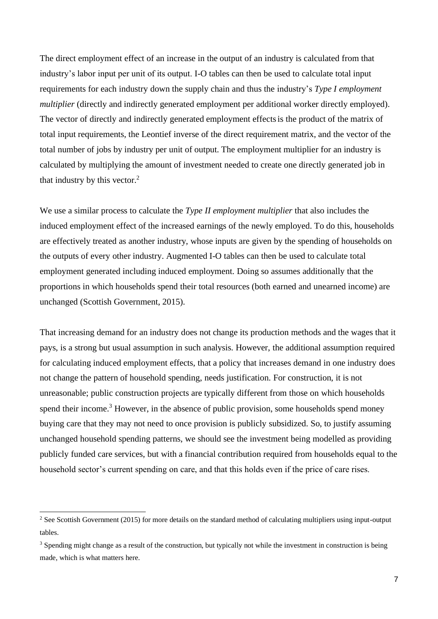The direct employment effect of an increase in the output of an industry is calculated from that industry's labor input per unit of its output. I-O tables can then be used to calculate total input requirements for each industry down the supply chain and thus the industry's *Type I employment multiplier* (directly and indirectly generated employment per additional worker directly employed). The vector of directly and indirectly generated employment effectsis the product of the matrix of total input requirements, the Leontief inverse of the direct requirement matrix, and the vector of the total number of jobs by industry per unit of output. The employment multiplier for an industry is calculated by multiplying the amount of investment needed to create one directly generated job in that industry by this vector.<sup>2</sup>

We use a similar process to calculate the *Type II employment multiplier* that also includes the induced employment effect of the increased earnings of the newly employed. To do this, households are effectively treated as another industry, whose inputs are given by the spending of households on the outputs of every other industry. Augmented I-O tables can then be used to calculate total employment generated including induced employment. Doing so assumes additionally that the proportions in which households spend their total resources (both earned and unearned income) are unchanged (Scottish Government, 2015).

That increasing demand for an industry does not change its production methods and the wages that it pays, is a strong but usual assumption in such analysis. However, the additional assumption required for calculating induced employment effects, that a policy that increases demand in one industry does not change the pattern of household spending, needs justification. For construction, it is not unreasonable; public construction projects are typically different from those on which households spend their income.<sup>3</sup> However, in the absence of public provision, some households spend money buying care that they may not need to once provision is publicly subsidized. So, to justify assuming unchanged household spending patterns, we should see the investment being modelled as providing publicly funded care services, but with a financial contribution required from households equal to the household sector's current spending on care, and that this holds even if the price of care rises.

<sup>&</sup>lt;sup>2</sup> See Scottish Government (2015) for more details on the standard method of calculating multipliers using input-output tables.

<sup>&</sup>lt;sup>3</sup> Spending might change as a result of the construction, but typically not while the investment in construction is being made, which is what matters here.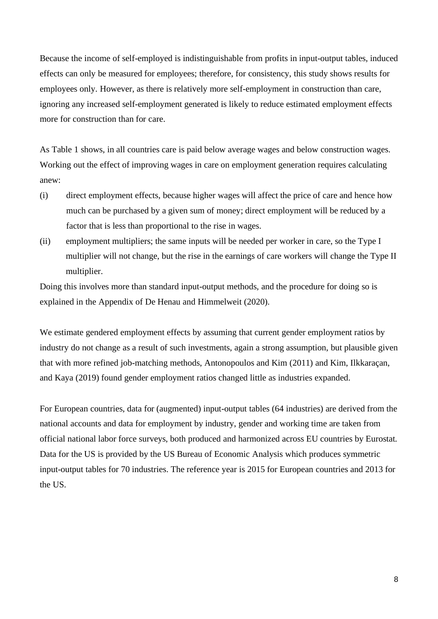Because the income of self-employed is indistinguishable from profits in input-output tables, induced effects can only be measured for employees; therefore, for consistency, this study shows results for employees only. However, as there is relatively more self-employment in construction than care, ignoring any increased self-employment generated is likely to reduce estimated employment effects more for construction than for care.

As Table 1 shows, in all countries care is paid below average wages and below construction wages. Working out the effect of improving wages in care on employment generation requires calculating anew:

- (i) direct employment effects, because higher wages will affect the price of care and hence how much can be purchased by a given sum of money; direct employment will be reduced by a factor that is less than proportional to the rise in wages.
- (ii) employment multipliers; the same inputs will be needed per worker in care, so the Type I multiplier will not change, but the rise in the earnings of care workers will change the Type II multiplier.

Doing this involves more than standard input-output methods, and the procedure for doing so is explained in the Appendix of De Henau and Himmelweit (2020).

We estimate gendered employment effects by assuming that current gender employment ratios by industry do not change as a result of such investments, again a strong assumption, but plausible given that with more refined job-matching methods, Antonopoulos and Kim (2011) and Kim, Ilkkaraçan, and Kaya (2019) found gender employment ratios changed little as industries expanded.

For European countries, data for (augmented) input-output tables (64 industries) are derived from the national accounts and data for employment by industry, gender and working time are taken from official national labor force surveys, both produced and harmonized across EU countries by Eurostat. Data for the US is provided by the US Bureau of Economic Analysis which produces symmetric input-output tables for 70 industries. The reference year is 2015 for European countries and 2013 for the US.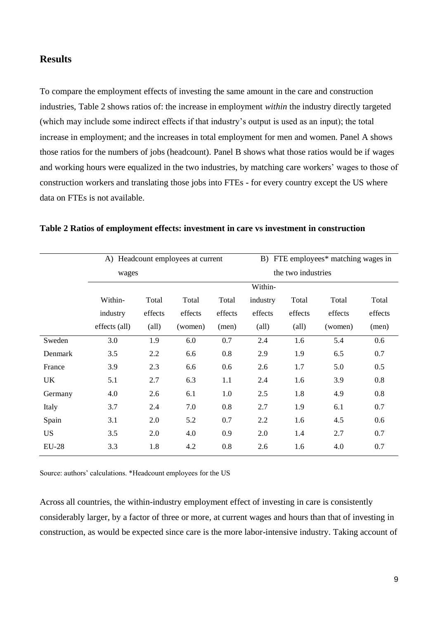### **Results**

To compare the employment effects of investing the same amount in the care and construction industries, Table 2 shows ratios of: the increase in employment *within* the industry directly targeted (which may include some indirect effects if that industry's output is used as an input); the total increase in employment; and the increases in total employment for men and women. Panel A shows those ratios for the numbers of jobs (headcount). Panel B shows what those ratios would be if wages and working hours were equalized in the two industries, by matching care workers' wages to those of construction workers and translating those jobs into FTEs - for every country except the US where data on FTEs is not available.

|              | A) Headcount employees at current |                |         |         | B) FTE employees* matching wages in |                |         |         |
|--------------|-----------------------------------|----------------|---------|---------|-------------------------------------|----------------|---------|---------|
|              | wages                             |                |         |         | the two industries                  |                |         |         |
|              |                                   |                | Within- |         |                                     |                |         |         |
|              | Within-                           | Total          | Total   | Total   | industry                            | Total          | Total   | Total   |
|              | industry                          | effects        | effects | effects | effects                             | effects        | effects | effects |
|              | effects (all)                     | $\text{(all)}$ | (women) | (men)   | $\text{(all)}$                      | $\text{(all)}$ | (women) | (men)   |
| Sweden       | 3.0                               | 1.9            | 6.0     | 0.7     | 2.4                                 | 1.6            | 5.4     | 0.6     |
| Denmark      | 3.5                               | 2.2            | 6.6     | 0.8     | 2.9                                 | 1.9            | 6.5     | 0.7     |
| France       | 3.9                               | 2.3            | 6.6     | 0.6     | 2.6                                 | 1.7            | 5.0     | 0.5     |
| UK           | 5.1                               | 2.7            | 6.3     | 1.1     | 2.4                                 | 1.6            | 3.9     | 0.8     |
| Germany      | 4.0                               | 2.6            | 6.1     | 1.0     | 2.5                                 | 1.8            | 4.9     | 0.8     |
| Italy        | 3.7                               | 2.4            | 7.0     | 0.8     | 2.7                                 | 1.9            | 6.1     | 0.7     |
| Spain        | 3.1                               | 2.0            | 5.2     | 0.7     | 2.2                                 | 1.6            | 4.5     | 0.6     |
| <b>US</b>    | 3.5                               | 2.0            | 4.0     | 0.9     | 2.0                                 | 1.4            | 2.7     | 0.7     |
| <b>EU-28</b> | 3.3                               | 1.8            | 4.2     | 0.8     | 2.6                                 | 1.6            | 4.0     | 0.7     |

#### **Table 2 Ratios of employment effects: investment in care vs investment in construction**

Source: authors' calculations. \*Headcount employees for the US

Across all countries, the within-industry employment effect of investing in care is consistently considerably larger, by a factor of three or more, at current wages and hours than that of investing in construction, as would be expected since care is the more labor-intensive industry. Taking account of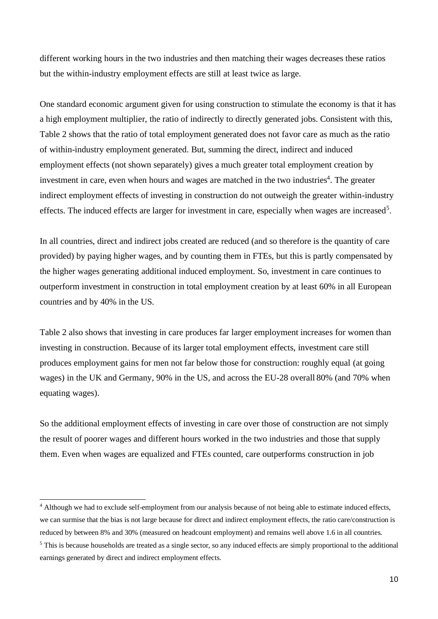different working hours in the two industries and then matching their wages decreases these ratios but the within-industry employment effects are still at least twice as large.

One standard economic argument given for using construction to stimulate the economy is that it has a high employment multiplier, the ratio of indirectly to directly generated jobs. Consistent with this, Table 2 shows that the ratio of total employment generated does not favor care as much as the ratio of within-industry employment generated. But, summing the direct, indirect and induced employment effects (not shown separately) gives a much greater total employment creation by investment in care, even when hours and wages are matched in the two industries<sup>4</sup>. The greater indirect employment effects of investing in construction do not outweigh the greater within-industry effects. The induced effects are larger for investment in care, especially when wages are increased<sup>5</sup>.

In all countries, direct and indirect jobs created are reduced (and so therefore is the quantity of care provided) by paying higher wages, and by counting them in FTEs, but this is partly compensated by the higher wages generating additional induced employment. So, investment in care continues to outperform investment in construction in total employment creation by at least 60% in all European countries and by 40% in the US.

Table 2 also shows that investing in care produces far larger employment increases for women than investing in construction. Because of its larger total employment effects, investment care still produces employment gains for men not far below those for construction: roughly equal (at going wages) in the UK and Germany, 90% in the US, and across the EU-28 overall 80% (and 70% when equating wages).

So the additional employment effects of investing in care over those of construction are not simply the result of poorer wages and different hours worked in the two industries and those that supply them. Even when wages are equalized and FTEs counted, care outperforms construction in job

<sup>&</sup>lt;sup>4</sup> Although we had to exclude self-employment from our analysis because of not being able to estimate induced effects, we can surmise that the bias is not large because for direct and indirect employment effects, the ratio care/construction is reduced by between 8% and 30% (measured on headcount employment) and remains well above 1.6 in all countries. <sup>5</sup> This is because households are treated as a single sector, so any induced effects are simply proportional to the additional

earnings generated by direct and indirect employment effects.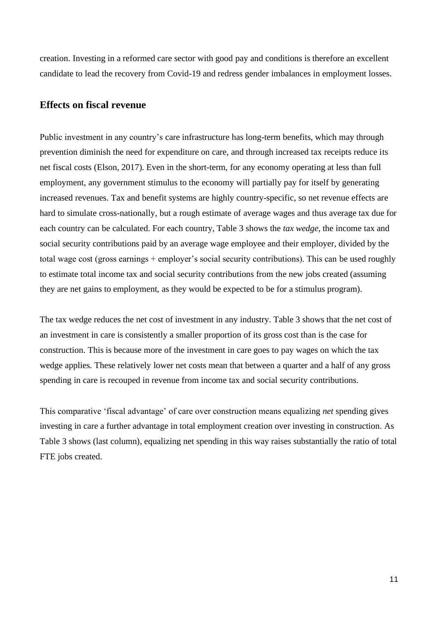creation. Investing in a reformed care sector with good pay and conditions is therefore an excellent candidate to lead the recovery from Covid-19 and redress gender imbalances in employment losses.

#### **Effects on fiscal revenue**

Public investment in any country's care infrastructure has long-term benefits, which may through prevention diminish the need for expenditure on care, and through increased tax receipts reduce its net fiscal costs (Elson, 2017). Even in the short-term, for any economy operating at less than full employment, any government stimulus to the economy will partially pay for itself by generating increased revenues. Tax and benefit systems are highly country-specific, so net revenue effects are hard to simulate cross-nationally, but a rough estimate of average wages and thus average tax due for each country can be calculated. For each country, Table 3 shows the *tax wedge*, the income tax and social security contributions paid by an average wage employee and their employer, divided by the total wage cost (gross earnings + employer's social security contributions). This can be used roughly to estimate total income tax and social security contributions from the new jobs created (assuming they are net gains to employment, as they would be expected to be for a stimulus program).

The tax wedge reduces the net cost of investment in any industry. Table 3 shows that the net cost of an investment in care is consistently a smaller proportion of its gross cost than is the case for construction. This is because more of the investment in care goes to pay wages on which the tax wedge applies. These relatively lower net costs mean that between a quarter and a half of any gross spending in care is recouped in revenue from income tax and social security contributions.

This comparative 'fiscal advantage' of care over construction means equalizing *net* spending gives investing in care a further advantage in total employment creation over investing in construction. As Table 3 shows (last column), equalizing net spending in this way raises substantially the ratio of total FTE jobs created.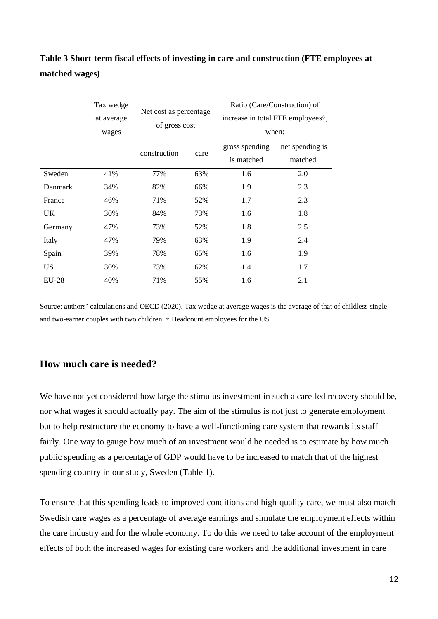| Table 3 Short-term fiscal effects of investing in care and construction (FTE employees at |  |
|-------------------------------------------------------------------------------------------|--|
| matched wages)                                                                            |  |

|           | Tax wedge  | Net cost as percentage |               | Ratio (Care/Construction) of |                                   |  |  |
|-----------|------------|------------------------|---------------|------------------------------|-----------------------------------|--|--|
|           | at average |                        | of gross cost |                              | increase in total FTE employees†, |  |  |
|           | wages      |                        |               | when:                        |                                   |  |  |
|           |            | construction           | care          | gross spending               | net spending is                   |  |  |
|           |            |                        |               | is matched                   | matched                           |  |  |
| Sweden    | 41%        | 77%                    | 63%           | 1.6                          | 2.0                               |  |  |
| Denmark   | 34%        | 82%                    | 66%           | 1.9                          | 2.3                               |  |  |
| France    | 46%        | 71%                    | 52%           | 1.7                          | 2.3                               |  |  |
| UK.       | 30%        | 84%                    | 73%           | 1.6                          | 1.8                               |  |  |
| Germany   | 47%        | 73%                    | 52%           | 1.8                          | 2.5                               |  |  |
| Italy     | 47%        | 79%                    | 63%           | 1.9                          | 2.4                               |  |  |
| Spain     | 39%        | 78%                    | 65%           | 1.6                          | 1.9                               |  |  |
| <b>US</b> | 30%        | 73%                    | 62%           | 1.4                          | 1.7                               |  |  |
| $EU-28$   | 40%        | 71%<br>55%             |               | 1.6                          | 2.1                               |  |  |

Source: authors' calculations and OECD (2020). Tax wedge at average wages is the average of that of childless single and two-earner couples with two children. † Headcount employees for the US.

## **How much care is needed?**

We have not yet considered how large the stimulus investment in such a care-led recovery should be, nor what wages it should actually pay. The aim of the stimulus is not just to generate employment but to help restructure the economy to have a well-functioning care system that rewards its staff fairly. One way to gauge how much of an investment would be needed is to estimate by how much public spending as a percentage of GDP would have to be increased to match that of the highest spending country in our study, Sweden (Table 1).

To ensure that this spending leads to improved conditions and high-quality care, we must also match Swedish care wages as a percentage of average earnings and simulate the employment effects within the care industry and for the whole economy. To do this we need to take account of the employment effects of both the increased wages for existing care workers and the additional investment in care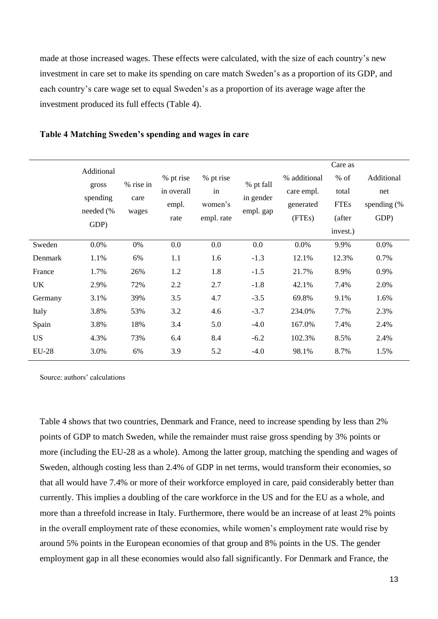made at those increased wages. These effects were calculated, with the size of each country's new investment in care set to make its spending on care match Sweden's as a proportion of its GDP, and each country's care wage set to equal Sweden's as a proportion of its average wage after the investment produced its full effects (Table 4).

|              |                                 |                   |                                          |                                          |                                     |              | Care as     |                |
|--------------|---------------------------------|-------------------|------------------------------------------|------------------------------------------|-------------------------------------|--------------|-------------|----------------|
|              | Additional<br>gross<br>spending | % rise in<br>care | % pt rise<br>in overall<br>empl.<br>rate | % pt rise<br>in<br>women's<br>empl. rate | % pt fall<br>in gender<br>empl. gap | % additional | $%$ of      | Additional     |
|              |                                 |                   |                                          |                                          |                                     | care empl.   | total       | net            |
|              |                                 |                   |                                          |                                          |                                     | generated    | <b>FTEs</b> | spending $(\%$ |
|              | needed (%                       | wages             |                                          |                                          |                                     | (FTEs)       | (after      | GDP)           |
|              | GDP)                            |                   |                                          |                                          |                                     |              | invest.)    |                |
| Sweden       | 0.0%                            | 0%                | 0.0                                      | 0.0                                      | 0.0                                 | 0.0%         | 9.9%        | 0.0%           |
| Denmark      | 1.1%                            | 6%                | 1.1                                      | 1.6                                      | $-1.3$                              | 12.1%        | 12.3%       | 0.7%           |
| France       | 1.7%                            | 26%               | 1.2                                      | 1.8                                      | $-1.5$                              | 21.7%        | 8.9%        | 0.9%           |
| UK           | 2.9%                            | 72%               | 2.2                                      | 2.7                                      | $-1.8$                              | 42.1%        | 7.4%        | 2.0%           |
| Germany      | 3.1%                            | 39%               | 3.5                                      | 4.7                                      | $-3.5$                              | 69.8%        | 9.1%        | 1.6%           |
| Italy        | 3.8%                            | 53%               | 3.2                                      | 4.6                                      | $-3.7$                              | 234.0%       | 7.7%        | 2.3%           |
| Spain        | 3.8%                            | 18%               | 3.4                                      | 5.0                                      | $-4.0$                              | 167.0%       | 7.4%        | 2.4%           |
| <b>US</b>    | 4.3%                            | 73%               | 6.4                                      | 8.4                                      | $-6.2$                              | 102.3%       | 8.5%        | 2.4%           |
| <b>EU-28</b> | 3.0%                            | 6%                | 3.9                                      | 5.2                                      | $-4.0$                              | 98.1%        | 8.7%        | 1.5%           |
|              |                                 |                   |                                          |                                          |                                     |              |             |                |

#### **Table 4 Matching Sweden's spending and wages in care**

Source: authors' calculations

Table 4 shows that two countries, Denmark and France, need to increase spending by less than 2% points of GDP to match Sweden, while the remainder must raise gross spending by 3% points or more (including the EU-28 as a whole). Among the latter group, matching the spending and wages of Sweden, although costing less than 2.4% of GDP in net terms, would transform their economies, so that all would have 7.4% or more of their workforce employed in care, paid considerably better than currently. This implies a doubling of the care workforce in the US and for the EU as a whole, and more than a threefold increase in Italy. Furthermore, there would be an increase of at least 2% points in the overall employment rate of these economies, while women's employment rate would rise by around 5% points in the European economies of that group and 8% points in the US. The gender employment gap in all these economies would also fall significantly. For Denmark and France, the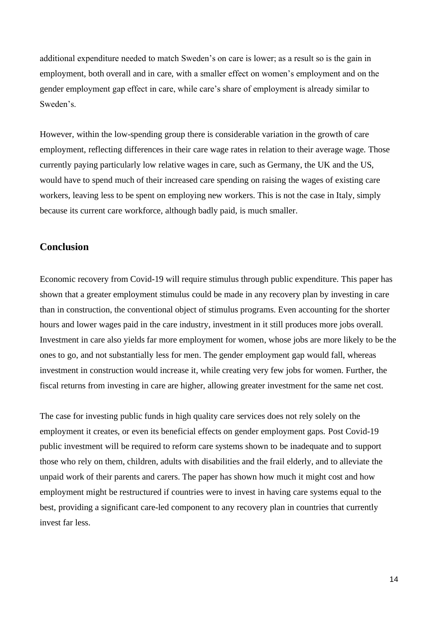additional expenditure needed to match Sweden's on care is lower; as a result so is the gain in employment, both overall and in care, with a smaller effect on women's employment and on the gender employment gap effect in care, while care's share of employment is already similar to Sweden's.

However, within the low-spending group there is considerable variation in the growth of care employment, reflecting differences in their care wage rates in relation to their average wage. Those currently paying particularly low relative wages in care, such as Germany, the UK and the US, would have to spend much of their increased care spending on raising the wages of existing care workers, leaving less to be spent on employing new workers. This is not the case in Italy, simply because its current care workforce, although badly paid, is much smaller.

### **Conclusion**

Economic recovery from Covid-19 will require stimulus through public expenditure. This paper has shown that a greater employment stimulus could be made in any recovery plan by investing in care than in construction, the conventional object of stimulus programs. Even accounting for the shorter hours and lower wages paid in the care industry, investment in it still produces more jobs overall. Investment in care also yields far more employment for women, whose jobs are more likely to be the ones to go, and not substantially less for men. The gender employment gap would fall, whereas investment in construction would increase it, while creating very few jobs for women. Further, the fiscal returns from investing in care are higher, allowing greater investment for the same net cost.

The case for investing public funds in high quality care services does not rely solely on the employment it creates, or even its beneficial effects on gender employment gaps. Post Covid-19 public investment will be required to reform care systems shown to be inadequate and to support those who rely on them, children, adults with disabilities and the frail elderly, and to alleviate the unpaid work of their parents and carers. The paper has shown how much it might cost and how employment might be restructured if countries were to invest in having care systems equal to the best, providing a significant care-led component to any recovery plan in countries that currently invest far less.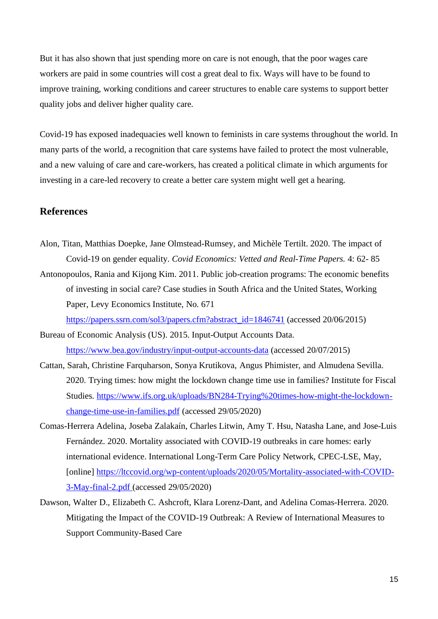But it has also shown that just spending more on care is not enough, that the poor wages care workers are paid in some countries will cost a great deal to fix. Ways will have to be found to improve training, working conditions and career structures to enable care systems to support better quality jobs and deliver higher quality care.

Covid-19 has exposed inadequacies well known to feminists in care systems throughout the world. In many parts of the world, a recognition that care systems have failed to protect the most vulnerable, and a new valuing of care and care-workers, has created a political climate in which arguments for investing in a care-led recovery to create a better care system might well get a hearing.

#### **References**

- Alon, Titan, Matthias Doepke, Jane Olmstead-Rumsey, and Michèle Tertilt. 2020. The impact of Covid-19 on gender equality. *Covid Economics: Vetted and Real-Time Papers.* 4: 62- 85
- Antonopoulos, Rania and Kijong Kim. 2011. Public job-creation programs: The economic benefits of investing in social care? Case studies in South Africa and the United States, Working Paper, Levy Economics Institute, No. 671

[https://papers.ssrn.com/sol3/papers.cfm?abstract\\_id=1846741](https://papers.ssrn.com/sol3/papers.cfm?abstract_id=1846741) (accessed 20/06/2015)

Bureau of Economic Analysis (US). 2015. Input-Output Accounts Data. <https://www.bea.gov/industry/input-output-accounts-data> (accessed 20/07/2015)

- Cattan, Sarah, Christine Farquharson, Sonya Krutikova, Angus Phimister, and Almudena Sevilla. 2020. Trying times: how might the lockdown change time use in families? Institute for Fiscal Studies. [https://www.ifs.org.uk/uploads/BN284-Trying%20times-how-might-the-lockdown](https://www.ifs.org.uk/uploads/BN284-Trying%20times-how-might-the-lockdown-change-time-use-in-families.pdf)[change-time-use-in-families.pdf](https://www.ifs.org.uk/uploads/BN284-Trying%20times-how-might-the-lockdown-change-time-use-in-families.pdf) (accessed 29/05/2020)
- Comas-Herrera Adelina, Joseba Zalakaín, Charles Litwin, Amy T. Hsu, Natasha Lane, and Jose-Luis Fernández. 2020. Mortality associated with COVID-19 outbreaks in care homes: early international evidence. International Long-Term Care Policy Network, CPEC-LSE, May, [online] [https://ltccovid.org/wp-content/uploads/2020/05/Mortality-associated-with-COVID-](https://ltccovid.org/wp-content/uploads/2020/05/Mortality-associated-with-COVID-3-May-final-2.pdf)[3-May-final-2.pdf](https://ltccovid.org/wp-content/uploads/2020/05/Mortality-associated-with-COVID-3-May-final-2.pdf) (accessed 29/05/2020)
- Dawson, Walter D., Elizabeth C. Ashcroft, Klara Lorenz-Dant, and Adelina Comas-Herrera. 2020. Mitigating the Impact of the COVID-19 Outbreak: A Review of International Measures to Support Community-Based Care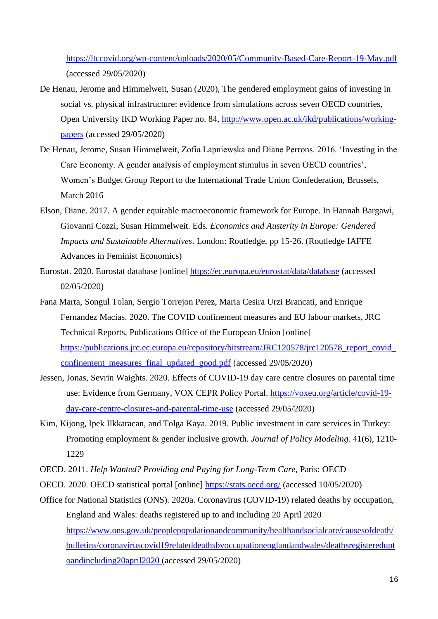<https://ltccovid.org/wp-content/uploads/2020/05/Community-Based-Care-Report-19-May.pdf> (accessed 29/05/2020)

- De Henau, Jerome and Himmelweit, Susan (2020), The gendered employment gains of investing in social vs. physical infrastructure: evidence from simulations across seven OECD countries, Open University IKD Working Paper no. 84, [http://www.open.ac.uk/ikd/publications/working](http://www.open.ac.uk/ikd/publications/working-papers)[papers](http://www.open.ac.uk/ikd/publications/working-papers) (accessed 29/05/2020)
- De Henau, Jerome, Susan Himmelweit, Zofia Lapniewska and Diane Perrons. 2016. 'Investing in the Care Economy. A gender analysis of employment stimulus in seven OECD countries', Women's Budget Group Report to the International Trade Union Confederation, Brussels, March 2016
- Elson, Diane. 2017. A gender equitable macroeconomic framework for Europe. In Hannah Bargawi, Giovanni Cozzi, Susan Himmelweit. Eds. *Economics and Austerity in Europe: Gendered Impacts and Sustainable Alternatives*. London: Routledge, pp 15-26. (Routledge IAFFE Advances in Feminist Economics)
- Eurostat. 2020. Eurostat database [online]<https://ec.europa.eu/eurostat/data/database> (accessed 02/05/2020)
- Fana Marta, Songul Tolan, Sergio Torrejon Perez, Maria Cesira Urzi Brancati, and Enrique Fernandez Macias. 2020. The COVID confinement measures and EU labour markets, JRC Technical Reports, Publications Office of the European Union [online] [https://publications.jrc.ec.europa.eu/repository/bitstream/JRC120578/jrc120578\\_report\\_covid\\_](https://publications.jrc.ec.europa.eu/repository/bitstream/JRC120578/jrc120578_report_covid_confinement_measures_final_updated_good.pdf) confinement measures final updated good.pdf (accessed 29/05/2020)
- Jessen, Jonas, Sevrin Waights. 2020. Effects of COVID-19 day care centre closures on parental time use: Evidence from Germany, VOX CEPR Policy Portal. [https://voxeu.org/article/covid-19](https://voxeu.org/article/covid-19-day-care-centre-closures-and-parental-time-use) [day-care-centre-closures-and-parental-time-use](https://voxeu.org/article/covid-19-day-care-centre-closures-and-parental-time-use) (accessed 29/05/2020)
- Kim, Kijong, Ipek Ilkkaracan, and Tolga Kaya. 2019. Public investment in care services in Turkey: Promoting employment & gender inclusive growth. *Journal of Policy Modeling.* 41(6), 1210- 1229
- OECD. 2011. *Help Wanted? Providing and Paying for Long-Term Care*, Paris: OECD
- OECD. 2020. OECD statistical portal [online]<https://stats.oecd.org/> (accessed 10/05/2020)
- Office for National Statistics (ONS). 2020a. Coronavirus (COVID-19) related deaths by occupation, England and Wales: deaths registered up to and including 20 April 2020 [https://www.ons.gov.uk/peoplepopulationandcommunity/healthandsocialcare/causesofdeath/](https://www.ons.gov.uk/peoplepopulationandcommunity/healthandsocialcare/causesofdeath/bulletins/coronaviruscovid19relateddeathsbyoccupationenglandandwales/deathsregistereduptoandincluding20april2020) [bulletins/coronaviruscovid19relateddeathsbyoccupationenglandandwales/deathsregisteredupt](https://www.ons.gov.uk/peoplepopulationandcommunity/healthandsocialcare/causesofdeath/bulletins/coronaviruscovid19relateddeathsbyoccupationenglandandwales/deathsregistereduptoandincluding20april2020) [oandincluding20april2020](https://www.ons.gov.uk/peoplepopulationandcommunity/healthandsocialcare/causesofdeath/bulletins/coronaviruscovid19relateddeathsbyoccupationenglandandwales/deathsregistereduptoandincluding20april2020) (accessed 29/05/2020)